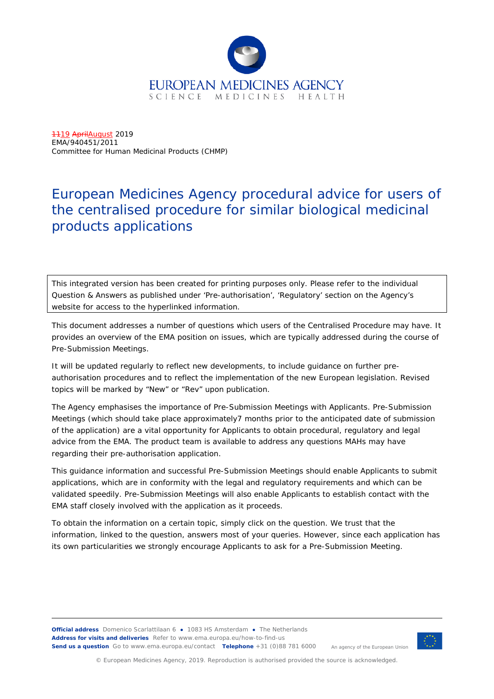

1119 April August 2019 EMA/940451/2011 Committee for Human Medicinal Products (CHMP)

# European Medicines Agency procedural advice for users of the centralised procedure for similar biological medicinal products applications

This integrated version has been created for printing purposes only. Please refer to the individual Question & Answers as published under 'Pre-authorisation', 'Regulatory' section on the Agency's website for access to the hyperlinked information.

This document addresses a number of questions which users of the Centralised Procedure may have. It provides an overview of the EMA position on issues, which are typically addressed during the course of Pre-Submission Meetings.

It will be updated regularly to reflect new developments, to include guidance on further preauthorisation procedures and to reflect the implementation of the new European legislation. Revised topics will be marked by "New" or "Rev" upon publication.

The Agency emphasises the importance of Pre-Submission Meetings with Applicants. Pre-Submission Meetings (which should take place approximately7 months prior to the anticipated date of submission of the application) are a vital opportunity for Applicants to obtain procedural, regulatory and legal advice from the EMA. The product team is available to address any questions MAHs may have regarding their pre-authorisation application.

This guidance information and successful Pre-Submission Meetings should enable Applicants to submit applications, which are in conformity with the legal and regulatory requirements and which can be validated speedily. Pre-Submission Meetings will also enable Applicants to establish contact with the EMA staff closely involved with the application as it proceeds.

To obtain the information on a certain topic, simply click on the question. We trust that the information, linked to the question, answers most of your queries. However, since each application has its own particularities we strongly encourage Applicants to ask for a Pre-Submission Meeting.

**Official address** Domenico Scarlattilaan 6 **●** 1083 HS Amsterdam **●** The Netherlands An agency of the European Union **Address for visits and deliveries** Refer to [www.ema.europa.eu/how-to-find-us](http://www.ema.europa.eu/how-to-find-us) **Send us a question** Go t[o www.ema.europa.eu/contact](http://www.ema.europa.eu/contact) **Telephone** +31 (0)88 781 6000



© European Medicines Agency, 2019. Reproduction is authorised provided the source is acknowledged.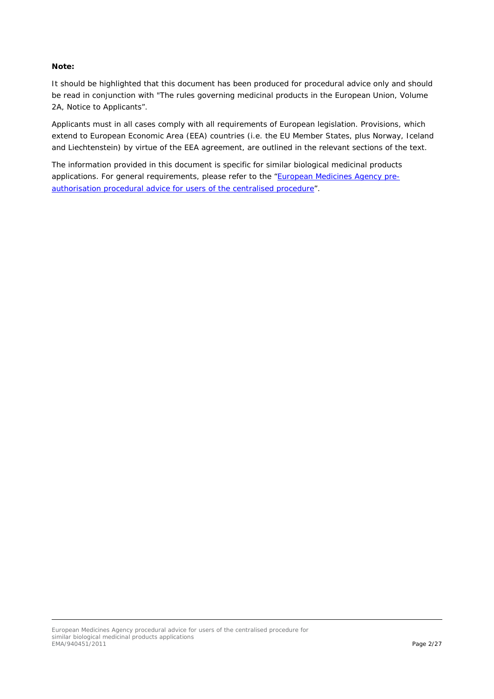#### **Note:**

It should be highlighted that this document has been produced for procedural advice only and should be read in conjunction with "The rules governing medicinal products in the European Union, Volume 2A, Notice to Applicants".

Applicants must in all cases comply with all requirements of European legislation. Provisions, which extend to European Economic Area (EEA) countries (i.e. the EU Member States, plus Norway, Iceland and Liechtenstein) by virtue of the EEA agreement, are outlined in the relevant sections of the text.

The information provided in this document is specific for similar biological medicinal products applications. For general requirements, please refer to the ["European Medicines Agency pre](http://www.ema.europa.eu/docs/en_GB/document_library/Regulatory_and_procedural_guideline/2009/10/WC500004069.pdf)[authorisation procedural advice for users of the centralised procedure"](http://www.ema.europa.eu/docs/en_GB/document_library/Regulatory_and_procedural_guideline/2009/10/WC500004069.pdf).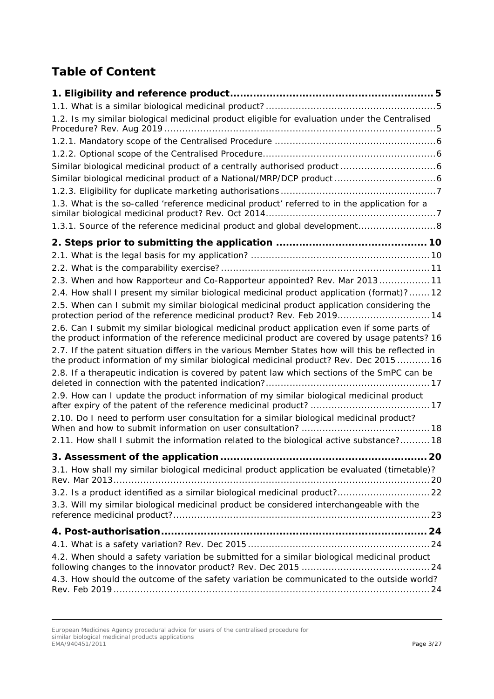# **Table of Content**

| 1.2. Is my similar biological medicinal product eligible for evaluation under the Centralised                                                                                              |    |
|--------------------------------------------------------------------------------------------------------------------------------------------------------------------------------------------|----|
|                                                                                                                                                                                            |    |
|                                                                                                                                                                                            |    |
|                                                                                                                                                                                            |    |
|                                                                                                                                                                                            |    |
|                                                                                                                                                                                            |    |
| 1.3. What is the so-called 'reference medicinal product' referred to in the application for a                                                                                              |    |
| 1.3.1. Source of the reference medicinal product and global development8                                                                                                                   |    |
|                                                                                                                                                                                            |    |
|                                                                                                                                                                                            |    |
|                                                                                                                                                                                            |    |
| 2.3. When and how Rapporteur and Co-Rapporteur appointed? Rev. Mar 2013 11                                                                                                                 |    |
| 2.4. How shall I present my similar biological medicinal product application (format)? 12                                                                                                  |    |
| 2.5. When can I submit my similar biological medicinal product application considering the<br>protection period of the reference medicinal product? Rev. Feb 2019 14                       |    |
| 2.6. Can I submit my similar biological medicinal product application even if some parts of<br>the product information of the reference medicinal product are covered by usage patents? 16 |    |
| 2.7. If the patent situation differs in the various Member States how will this be reflected in<br>the product information of my similar biological medicinal product? Rev. Dec 2015 16    |    |
| 2.8. If a therapeutic indication is covered by patent law which sections of the SmPC can be                                                                                                |    |
| 2.9. How can I update the product information of my similar biological medicinal product                                                                                                   |    |
| 2.10. Do I need to perform user consultation for a similar biological medicinal product?<br>2.11. How shall I submit the information related to the biological active substance?18         |    |
|                                                                                                                                                                                            | 20 |
| 3.1. How shall my similar biological medicinal product application be evaluated (timetable)?                                                                                               |    |
| 3.2. Is a product identified as a similar biological medicinal product? 22                                                                                                                 |    |
| 3.3. Will my similar biological medicinal product be considered interchangeable with the                                                                                                   |    |
|                                                                                                                                                                                            |    |
|                                                                                                                                                                                            |    |
| 4.2. When should a safety variation be submitted for a similar biological medicinal product                                                                                                |    |
| 4.3. How should the outcome of the safety variation be communicated to the outside world?                                                                                                  |    |

European Medicines Agency procedural advice for users of the centralised procedure for similar biological medicinal products applications EMA/940451/2011 Page 3/27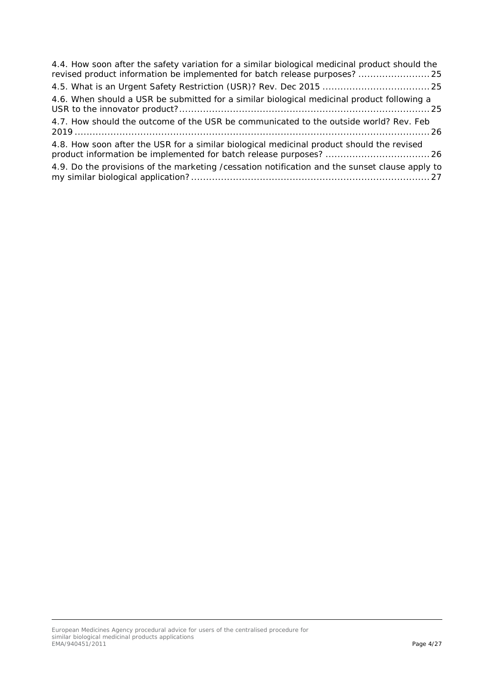| 4.4. How soon after the safety variation for a similar biological medicinal product should the<br>revised product information be implemented for batch release purposes? 25 |
|-----------------------------------------------------------------------------------------------------------------------------------------------------------------------------|
|                                                                                                                                                                             |
| 4.6. When should a USR be submitted for a similar biological medicinal product following a                                                                                  |
| 4.7. How should the outcome of the USR be communicated to the outside world? Rev. Feb                                                                                       |
| 4.8. How soon after the USR for a similar biological medicinal product should the revised                                                                                   |
| 4.9. Do the provisions of the marketing / cessation notification and the sunset clause apply to                                                                             |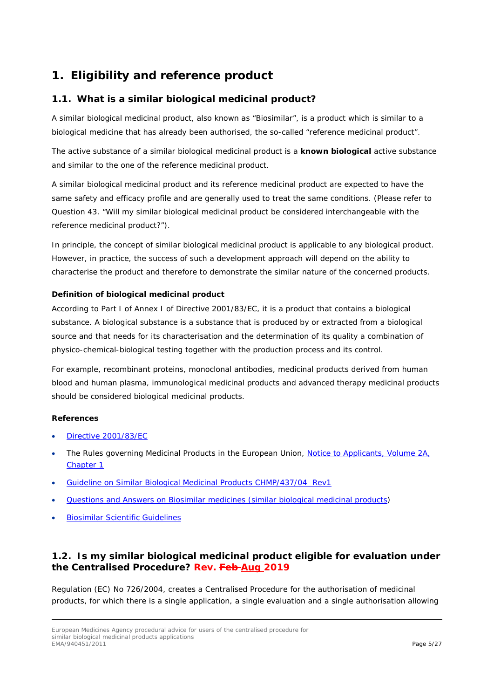# <span id="page-4-0"></span>**1. Eligibility and reference product**

# <span id="page-4-1"></span>*1.1. What is a similar biological medicinal product?*

A similar biological medicinal product, also known as "Biosimilar", is a product which is similar to a biological medicine that has already been authorised, the so-called "reference medicinal product".

The active substance of a similar biological medicinal product is a **known biological** active substance and similar to the one of the reference medicinal product.

A similar biological medicinal product and its reference medicinal product are expected to have the same safety and efficacy profile and are generally used to treat the same conditions. (Please refer to Question 43. "Will my similar biological medicinal product be considered interchangeable with the reference medicinal product?").

In principle, the concept of similar biological medicinal product is applicable to any biological product. However, in practice, the success of such a development approach will depend on the ability to characterise the product and therefore to demonstrate the similar nature of the concerned products.

### **Definition of biological medicinal product**

According to Part I of Annex I of Directive 2001/83/EC, it is a product that contains a biological substance. A biological substance is a substance that is produced by or extracted from a biological source and that needs for its characterisation and the determination of its quality a combination of physico-chemical-biological testing together with the production process and its control.

For example, recombinant proteins, monoclonal antibodies, medicinal products derived from human blood and human plasma, immunological medicinal products and advanced therapy medicinal products should be considered biological medicinal products.

#### **References**

- [Directive 2001/83/EC](http://ec.europa.eu/health/files/eudralex/vol-1/dir_2001_83_cons2009/2001_83_cons2009_en.pdf)
- The Rules governing Medicinal Products in the European Union, Notice to Applicants, Volume 2A, [Chapter 1](http://ec.europa.eu/health/documents/eudralex/vol-2_en)
- [Guideline on Similar Biological Medicinal Products CHMP/437/04 Rev1](http://www.ema.europa.eu/docs/en_GB/document_library/Scientific_guideline/2014/10/WC500176768.pdf)
- [Questions and Answers on Biosimilar medicines \(similar biological medicinal products\)](http://www.ema.europa.eu/docs/en_GB/document_library/Medicine_QA/2009/12/WC500020062.pdf)
- [Biosimilar Scientific Guidelines](http://www.ema.europa.eu/ema/index.jsp?curl=pages/regulation/general/general_content_000408.jsp&murl=menus/regulations/regulations.jsp&mid=WC0b01ac058002958c)

# <span id="page-4-2"></span>*1.2. Is my similar biological medicinal product eligible for evaluation under the Centralised Procedure? Rev. Feb Aug 2019*

Regulation (EC) No 726/2004, creates a Centralised Procedure for the authorisation of medicinal products, for which there is a single application, a single evaluation and a single authorisation allowing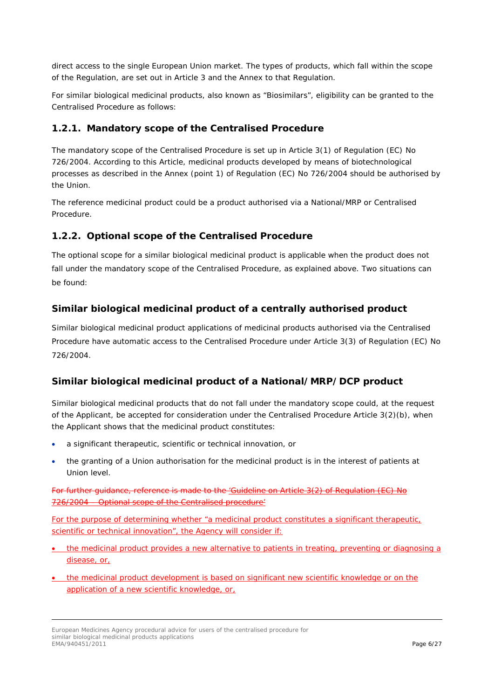direct access to the single European Union market. The types of products, which fall within the scope of the Regulation, are set out in Article 3 and the Annex to that Regulation.

For similar biological medicinal products, also known as "Biosimilars", eligibility can be granted to the Centralised Procedure as follows:

### <span id="page-5-0"></span>**1.2.1. Mandatory scope of the Centralised Procedure**

The mandatory scope of the Centralised Procedure is set up in Article 3(1) of Regulation (EC) No 726/2004. According to this Article, medicinal products developed by means of biotechnological processes as described in the Annex (point 1) of Regulation (EC) No 726/2004 should be authorised by the Union.

The reference medicinal product could be a product authorised via a National/MRP or Centralised Procedure.

### <span id="page-5-1"></span>**1.2.2. Optional scope of the Centralised Procedure**

The optional scope for a similar biological medicinal product is applicable when the product does not fall under the mandatory scope of the Centralised Procedure, as explained above. Two situations can be found:

### <span id="page-5-2"></span>**Similar biological medicinal product of a centrally authorised product**

Similar biological medicinal product applications of medicinal products authorised via the Centralised Procedure have automatic access to the Centralised Procedure under Article 3(3) of Regulation (EC) No 726/2004.

#### <span id="page-5-3"></span>**Similar biological medicinal product of a National/MRP/DCP product**

Similar biological medicinal products that do not fall under the mandatory scope could, at the request of the Applicant, be accepted for consideration under the Centralised Procedure Article 3(2)(b), when the Applicant shows that the medicinal product constitutes:

- a significant therapeutic, scientific or technical innovation, or
- the granting of a Union authorisation for the medicinal product is in the interest of patients at Union level.

For further guidance, reference is made to the 'Guideline on Article 3(2) of Regulation (EC) - Optional scope of the Centralised procedure'

For the purpose of determining whether "a [medicinal product](https://www.ema.europa.eu/en/glossary/medicinal-product) constitutes a significant therapeutic, scientific or technical innovation", the Agency will consider if:

- the [medicinal product](https://www.ema.europa.eu/en/glossary/medicinal-product) provides a new alternative to patients in treating, preventing or diagnosing a disease, or,
- the [medicinal product](https://www.ema.europa.eu/en/glossary/medicinal-product) development is based on significant new scientific knowledge or on the application of a new scientific knowledge, or,

European Medicines Agency procedural advice for users of the centralised procedure for similar biological medicinal products applications<br>EMA/940451/2011 EMA/940451/2011 Page 6/27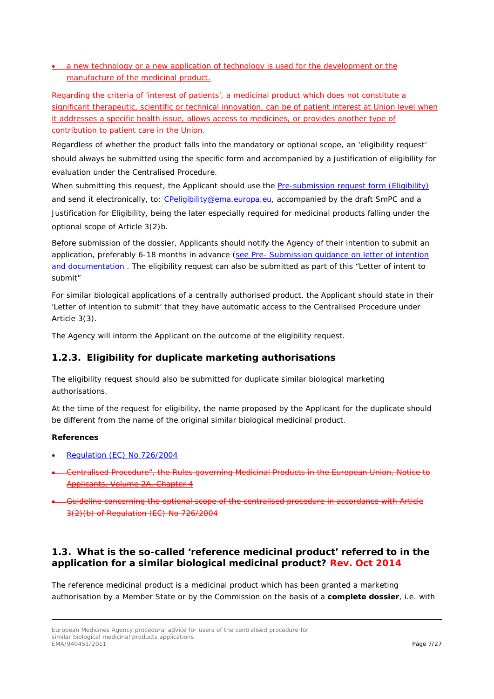• a new technology or a new application of technology is used for the development or the manufacture of the [medicinal product.](https://www.ema.europa.eu/en/glossary/medicinal-product)

Regarding the criteria of 'interest of patients', a [medicinal product](https://www.ema.europa.eu/en/glossary/medicinal-product) which does not constitute a significant therapeutic, scientific or technical innovation, can be of patient interest at Union level when it addresses a specific health issue, allows access to medicines, or provides another type of contribution to patient care in the Union.

Regardless of whether the product falls into the mandatory or optional scope, an 'eligibility request' should always be submitted using the specific form and accompanied by a justification of eligibility for evaluation under the Centralised Procedure.

When submitting this request, the Applicant should use the [Pre-submission request form \(Eligibility\)](http://www.ema.europa.eu/docs/en_GB/document_library/Template_or_form/2010/02/WC500070843.pdf) and send it electronically, to: [CPeligibility@ema.europa.eu,](mailto:CPeligibility@ema.europa.eu) accompanied by the draft SmPC and a Justification for Eligibility, being the later especially required for medicinal products falling under the optional scope of Article 3(2)b.

Before submission of the dossier, Applicants should notify the Agency of their intention to submit an application, preferably 6-18 months in advance (see Pre- Submission quidance on letter of intention [and documentation](http://www.ema.europa.eu/ema/index.jsp?curl=pages/regulation/q_and_a/q_and_a_detail_000021.jsp&murl=menus/regulations/regulations.jsp&mid=WC0b01ac0580022711) . The eligibility request can also be submitted as part of this "Letter of intent to submit"

For similar biological applications of a centrally authorised product, the Applicant should state in their 'Letter of intention to submit' that they have automatic access to the Centralised Procedure under Article 3(3).

The Agency will inform the Applicant on the outcome of the eligibility request.

# <span id="page-6-0"></span>**1.2.3. Eligibility for duplicate marketing authorisations**

The eligibility request should also be submitted for duplicate similar biological marketing authorisations.

At the time of the request for eligibility, the name proposed by the Applicant for the duplicate should be different from the name of the original similar biological medicinal product.

#### **References**

- [Regulation \(EC\) No 726/2004](https://ec.europa.eu/health/sites/health/files/files/eudralex/vol-1/reg_2004_726/reg_2004_726_en.pdf)
- Centralised Procedure", the Rules governing Medicinal Products in the European Union, Notice to Applicants, Volume 2A, Chapter 4
- Guideline concerning the optional scope of the centralised procedure in accordance with Article 3(2)(b) of Regulation (EC) No 726/2004

### <span id="page-6-1"></span>*1.3. What is the so-called 'reference medicinal product' referred to in the application for a similar biological medicinal product? Rev. Oct 2014*

The reference medicinal product is a medicinal product which has been granted a marketing authorisation by a Member State or by the Commission on the basis of a **complete dossier**, i.e. with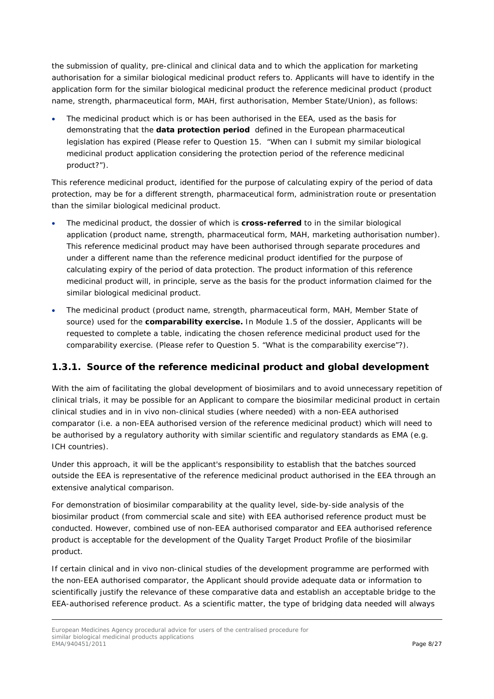the submission of quality, pre-clinical and clinical data and to which the application for marketing authorisation for a similar biological medicinal product refers to. Applicants will have to identify in the application form for the similar biological medicinal product the reference medicinal product (product name, strength, pharmaceutical form, MAH, first authorisation, Member State/Union), as follows:

The medicinal product which is or has been authorised in the EEA, used as the basis for demonstrating that the **data protection period** defined in the European pharmaceutical legislation has expired (Please refer to Question 15. "When can I submit my similar biological medicinal product application considering the protection period of the reference medicinal product?").

This reference medicinal product, identified for the purpose of calculating expiry of the period of data protection, may be for a different strength, pharmaceutical form, administration route or presentation than the similar biological medicinal product.

- The medicinal product, the dossier of which is **cross-referred** to in the similar biological application (product name, strength, pharmaceutical form, MAH, marketing authorisation number). This reference medicinal product may have been authorised through separate procedures and under a different name than the reference medicinal product identified for the purpose of calculating expiry of the period of data protection. The product information of this reference medicinal product will, in principle, serve as the basis for the product information claimed for the similar biological medicinal product.
- The medicinal product (product name, strength, pharmaceutical form, MAH, Member State of source) used for the **comparability exercise.** In Module 1.5 of the dossier, Applicants will be requested to complete a table, indicating the chosen reference medicinal product used for the comparability exercise. (Please refer to Question 5. "What is the comparability exercise"?).

# <span id="page-7-0"></span>**1.3.1. Source of the reference medicinal product and global development**

With the aim of facilitating the global development of biosimilars and to avoid unnecessary repetition of clinical trials, it may be possible for an Applicant to compare the biosimilar medicinal product in certain clinical studies and in in vivo non-clinical studies (where needed) with a non-EEA authorised comparator (i.e. a non-EEA authorised version of the reference medicinal product) which will need to be authorised by a regulatory authority with similar scientific and regulatory standards as EMA (e.g. ICH countries).

Under this approach, it will be the applicant's responsibility to establish that the batches sourced outside the EEA is representative of the reference medicinal product authorised in the EEA through an extensive analytical comparison.

For demonstration of biosimilar comparability at the quality level, side-by-side analysis of the biosimilar product (from commercial scale and site) with EEA authorised reference product must be conducted. However, combined use of non-EEA authorised comparator and EEA authorised reference product is acceptable for the development of the Quality Target Product Profile of the biosimilar product.

If certain clinical and in vivo non-clinical studies of the development programme are performed with the non-EEA authorised comparator, the Applicant should provide adequate data or information to scientifically justify the relevance of these comparative data and establish an acceptable bridge to the EEA-authorised reference product. As a scientific matter, the type of bridging data needed will always

European Medicines Agency procedural advice for users of the centralised procedure for similar biological medicinal products applications<br>EMA/940451/2011 EMA/940451/2011 Page 8/27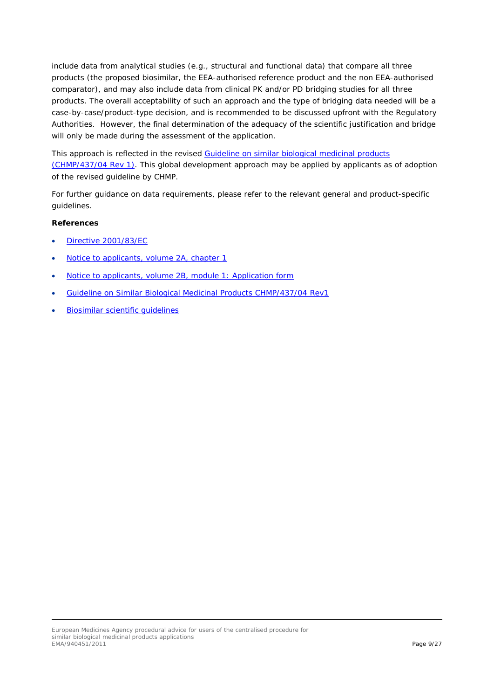include data from analytical studies (e.g., structural and functional data) that compare all three products (the proposed biosimilar, the EEA-authorised reference product and the non EEA-authorised comparator), and may also include data from clinical PK and/or PD bridging studies for all three products. The overall acceptability of such an approach and the type of bridging data needed will be a case-by-case/product-type decision, and is recommended to be discussed upfront with the Regulatory Authorities. However, the final determination of the adequacy of the scientific justification and bridge will only be made during the assessment of the application.

This approach is reflected in the revised [Guideline on similar biological medicinal products](http://www.ema.europa.eu/docs/en_GB/document_library/Scientific_guideline/2014/10/WC500176768.pdf)  [\(CHMP/437/04 Rev 1\).](http://www.ema.europa.eu/docs/en_GB/document_library/Scientific_guideline/2014/10/WC500176768.pdf) This global development approach may be applied by applicants as of adoption of the revised guideline by CHMP.

For further guidance on data requirements, please refer to the relevant general and product-specific guidelines.

- [Directive 2001/83/EC](http://ec.europa.eu/health/files/eudralex/vol-1/dir_2001_83_cons2009/2001_83_cons2009_en.pdf)
- [Notice to applicants, volume 2A,](http://ec.europa.eu/health/documents/eudralex/vol-2_en) chapter 1
- [Notice to applicants, volume 2B, module 1: Application form](http://ec.europa.eu/health/documents/eudralex/vol-2_en)
- [Guideline on Similar Biological Medicinal Products CHMP/437/04 Rev1](http://www.ema.europa.eu/docs/en_GB/document_library/Scientific_guideline/2014/10/WC500176768.pdf)
- [Biosimilar scientific guidelines](http://www.ema.europa.eu/ema/index.jsp?curl=pages/regulation/general/general_content_000408.jsp&murl=menus/regulations/regulations.jsp&mid=WC0b01ac058002958c)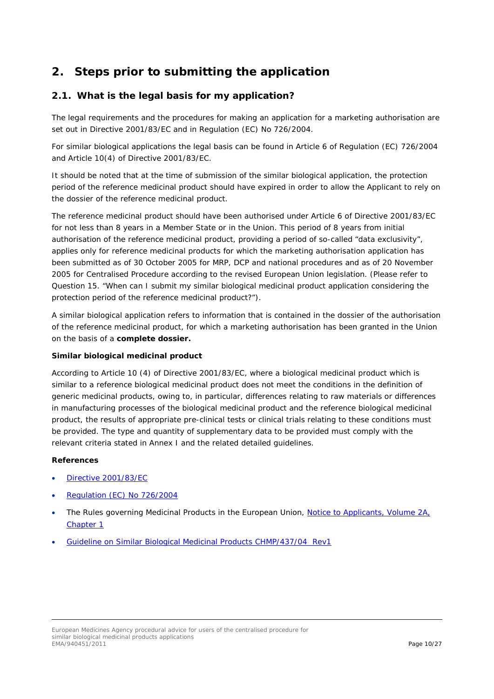# <span id="page-9-0"></span>**2. Steps prior to submitting the application**

# <span id="page-9-1"></span>*2.1. What is the legal basis for my application?*

The legal requirements and the procedures for making an application for a marketing authorisation are set out in Directive 2001/83/EC and in Regulation (EC) No 726/2004.

For similar biological applications the legal basis can be found in Article 6 of Regulation (EC) 726/2004 and Article 10(4) of Directive 2001/83/EC.

It should be noted that at the time of submission of the similar biological application, the protection period of the reference medicinal product should have expired in order to allow the Applicant to rely on the dossier of the reference medicinal product.

The reference medicinal product should have been authorised under Article 6 of Directive 2001/83/EC for not less than 8 years in a Member State or in the Union. This period of 8 years from initial authorisation of the reference medicinal product, providing a period of so-called "data exclusivity", applies only for reference medicinal products for which the marketing authorisation application has been submitted as of 30 October 2005 for MRP, DCP and national procedures and as of 20 November 2005 for Centralised Procedure according to the revised European Union legislation. (Please refer to Question 15. "When can I submit my similar biological medicinal product application considering the protection period of the reference medicinal product?").

A similar biological application refers to information that is contained in the dossier of the authorisation of the reference medicinal product, for which a marketing authorisation has been granted in the Union on the basis of a **complete dossier.**

#### **Similar biological medicinal product**

According to Article 10 (4) of Directive 2001/83/EC, where a biological medicinal product which is similar to a reference biological medicinal product does not meet the conditions in the definition of generic medicinal products, owing to, in particular, differences relating to raw materials or differences in manufacturing processes of the biological medicinal product and the reference biological medicinal product, the results of appropriate pre-clinical tests or clinical trials relating to these conditions must be provided. The type and quantity of supplementary data to be provided must comply with the relevant criteria stated in Annex I and the related detailed guidelines.

- [Directive 2001/83/EC](http://ec.europa.eu/health/files/eudralex/vol-1/dir_2001_83_cons2009/2001_83_cons2009_en.pdf)
- [Regulation \(EC\) No 726/2004](https://ec.europa.eu/health/sites/health/files/files/eudralex/vol-1/reg_2004_726/reg_2004_726_en.pdf)
- The Rules governing Medicinal Products in the European Union, Notice to Applicants, Volume 2A, [Chapter 1](http://ec.europa.eu/health/documents/eudralex/vol-2_en)
- [Guideline on Similar Biological Medicinal Products CHMP/437/04 Rev1](http://www.ema.europa.eu/docs/en_GB/document_library/Scientific_guideline/2014/10/WC500176768.pdf)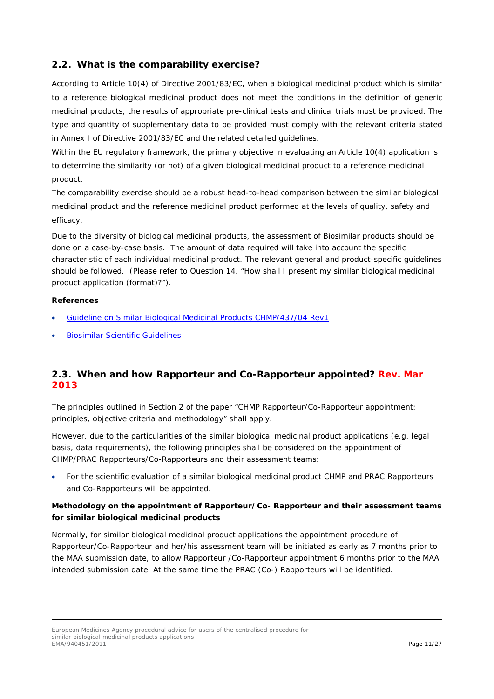# <span id="page-10-0"></span>*2.2. What is the comparability exercise?*

According to Article 10(4) of Directive 2001/83/EC, when a biological medicinal product which is similar to a reference biological medicinal product does not meet the conditions in the definition of generic medicinal products, the results of appropriate pre-clinical tests and clinical trials must be provided. The type and quantity of supplementary data to be provided must comply with the relevant criteria stated in Annex I of Directive 2001/83/EC and the related detailed guidelines.

Within the EU regulatory framework, the primary objective in evaluating an Article 10(4) application is to determine the similarity (or not) of a given biological medicinal product to a reference medicinal product.

The comparability exercise should be a robust head-to-head comparison between the similar biological medicinal product and the reference medicinal product performed at the levels of quality, safety and efficacy.

Due to the diversity of biological medicinal products, the assessment of Biosimilar products should be done on a case-by-case basis. The amount of data required will take into account the specific characteristic of each individual medicinal product. The relevant general and product-specific guidelines should be followed. (Please refer to Question 14. "How shall I present my similar biological medicinal product application (format)?").

#### **References**

- [Guideline on Similar Biological Medicinal Products CHMP/437/04 Rev1](http://www.ema.europa.eu/docs/en_GB/document_library/Scientific_guideline/2014/10/WC500176768.pdf)
- [Biosimilar Scientific Guidelines](http://www.ema.europa.eu/ema/index.jsp?curl=pages/regulation/general/general_content_000408.jsp&murl=menus/regulations/regulations.jsp&mid=WC0b01ac058002958c)

# <span id="page-10-1"></span>*2.3. When and how Rapporteur and Co-Rapporteur appointed? Rev. Mar 2013*

The principles outlined in Section 2 of the paper "CHMP Rapporteur/Co-Rapporteur appointment: principles, objective criteria and methodology" shall apply.

However, due to the particularities of the similar biological medicinal product applications (e.g. legal basis, data requirements), the following principles shall be considered on the appointment of CHMP/PRAC Rapporteurs/Co-Rapporteurs and their assessment teams:

• For the scientific evaluation of a similar biological medicinal product CHMP and PRAC Rapporteurs and Co-Rapporteurs will be appointed.

### **Methodology on the appointment of Rapporteur/Co- Rapporteur and their assessment teams for similar biological medicinal products**

*Normally, for similar biological medicinal product applications the appointment procedure of Rapporteur/Co-Rapporteur and her/his assessment team will be initiated as early as 7 months prior to the MAA submission date, to allow Rapporteur /Co-Rapporteur appointment 6 months prior to the MAA intended submission date. At the same time the PRAC (Co-) Rapporteurs will be identified.*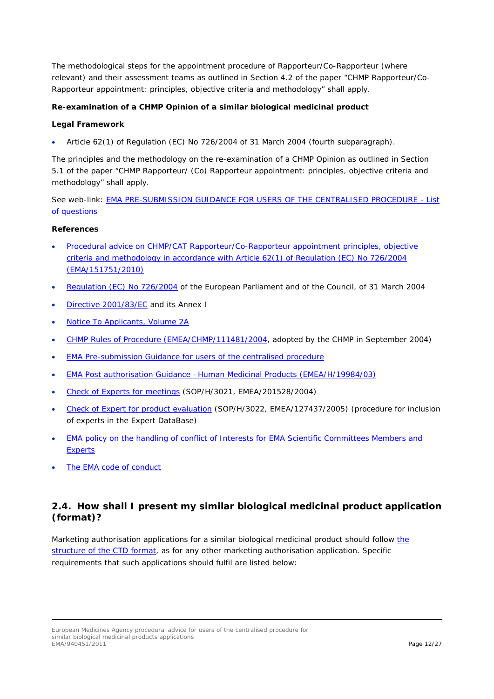The methodological steps for the appointment procedure of Rapporteur/Co-Rapporteur (where relevant) and their assessment teams as outlined in Section 4.2 of the paper "CHMP Rapporteur/Co-Rapporteur appointment: principles, objective criteria and methodology" shall apply.

#### **Re-examination of a CHMP Opinion of a similar biological medicinal product**

#### **Legal Framework**

• Article 62(1) of Regulation (EC) No 726/2004 of 31 March 2004 (fourth subparagraph).

The principles and the methodology on the re-examination of a CHMP Opinion as outlined in Section 5.1 of the paper "CHMP Rapporteur/ (Co) Rapporteur appointment: principles, objective criteria and methodology" shall apply.

See web-link: [EMA PRE-SUBMISSION GUIDANCE FOR USERS OF THE CENTRALISED PROCEDURE -](http://www.ema.europa.eu/ema/index.jsp?curl=pages/regulation/q_and_a/q_and_a_detail_000021.jsp&murl=menus/regulations/regulations.jsp&mid=WC0b01ac0580022711) List [of questions](http://www.ema.europa.eu/ema/index.jsp?curl=pages/regulation/q_and_a/q_and_a_detail_000021.jsp&murl=menus/regulations/regulations.jsp&mid=WC0b01ac0580022711)

#### **References**

- [Procedural advice on CHMP/CAT Rapporteur/Co-Rapporteur appointment principles, objective](http://www.ema.europa.eu/docs/en_GB/document_library/Regulatory_and_procedural_guideline/2009/10/WC500004163.pdf)  [criteria and methodology in accordance with Article 62\(1\) of Regulation \(EC\) No 726/2004](http://www.ema.europa.eu/docs/en_GB/document_library/Regulatory_and_procedural_guideline/2009/10/WC500004163.pdf)  [\(EMA/151751/2010\)](http://www.ema.europa.eu/docs/en_GB/document_library/Regulatory_and_procedural_guideline/2009/10/WC500004163.pdf)
- [Regulation \(EC\) No 726/2004](https://ec.europa.eu/health/sites/health/files/files/eudralex/vol-1/reg_2004_726/reg_2004_726_en.pdf) of the European Parliament and of the Council, of 31 March 2004
- [Directive 2001/83/EC](http://ec.europa.eu/health/files/eudralex/vol-1/dir_2001_83_cons2009/2001_83_cons2009_en.pdf) and its Annex I
- [Notice To Applicants, Volume 2A](http://ec.europa.eu/health/documents/eudralex/vol-2/index_en.htm)
- [CHMP Rules of Procedure \(EMEA/CHMP/111481/2004,](http://www.ema.europa.eu/docs/en_GB/document_library/Other/2009/10/WC500004628.pdf) adopted by the CHMP in September 2004)
- **[EMA Pre-submission Guidance for users of the centralised procedure](http://www.ema.europa.eu/docs/en_GB/document_library/Regulatory_and_procedural_guideline/2009/10/WC500004069.pdf)**
- [EMA Post authorisation Guidance –Human Medicinal Products \(EMEA/H/19984/03\)](http://www.ema.europa.eu/docs/en_GB/document_library/Regulatory_and_procedural_guideline/2009/10/WC500003981.pdf)
- [Check of Experts for meetings](http://www.ema.europa.eu/docs/en_GB/document_library/Standard_Operating_Procedure_-_SOP/2009/09/WC500002929.pdf) (SOP/H/3021, EMEA/201528/2004)
- [Check of Expert for product evaluation](http://www.ema.europa.eu/docs/en_GB/document_library/Standard_Operating_Procedure_-_SOP/2009/09/WC500002930.pdf) (SOP/H/3022, EMEA/127437/2005) (procedure for inclusion of experts in the Expert DataBase)
- [EMA policy on the handling of conflict of Interests for EMA Scientific Committees Members and](http://www.ema.europa.eu/docs/en_GB/document_library/Other/2009/10/WC500004925.pdf)  **[Experts](http://www.ema.europa.eu/docs/en_GB/document_library/Other/2009/10/WC500004925.pdf)**
- [The EMA code of conduct](http://www.ema.europa.eu/docs/en_GB/document_library/Other/2009/10/WC500004924.pdf)

# <span id="page-11-0"></span>*2.4. How shall I present my similar biological medicinal product application (format)?*

Marketing authorisation applications for a similar biological medicinal product should follow the [structure of the CTD format,](http://ec.europa.eu/health/documents/eudralex/vol-2/index_en.htm) as for any other marketing authorisation application. Specific requirements that such applications should fulfil are listed below: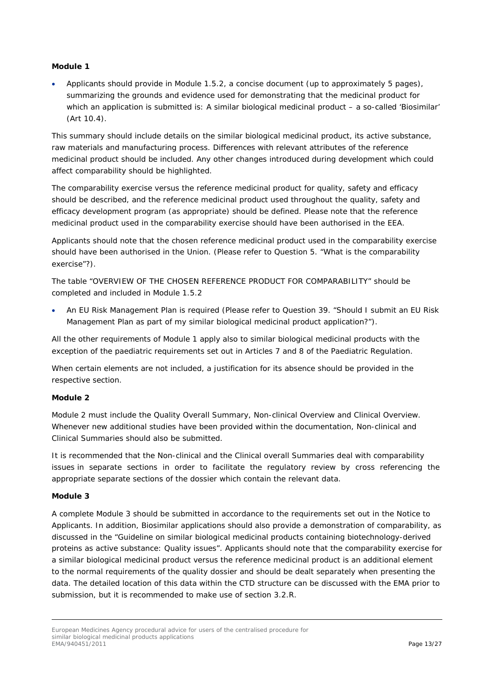#### **Module 1**

• Applicants should provide in Module 1.5.2, a concise document (up to approximately 5 pages), summarizing the grounds and evidence used for demonstrating that the medicinal product for which an application is submitted is: A similar biological medicinal product – a so-called 'Biosimilar' (Art 10.4).

This summary should include details on the similar biological medicinal product, its active substance, raw materials and manufacturing process. Differences with relevant attributes of the reference medicinal product should be included. Any other changes introduced during development which could affect comparability should be highlighted.

The comparability exercise versus the reference medicinal product for quality, safety and efficacy should be described, and the reference medicinal product used throughout the quality, safety and efficacy development program (as appropriate) should be defined. Please note that the reference medicinal product used in the comparability exercise should have been authorised in the EEA.

Applicants should note that the chosen reference medicinal product used in the comparability exercise should have been authorised in the Union. (Please refer to Question 5. "What is the comparability exercise"?).

The table "OVERVIEW OF THE CHOSEN REFERENCE PRODUCT FOR COMPARABILITY" should be completed and included in Module 1.5.2

• An EU Risk Management Plan is required (Please refer to Question 39. "Should I submit an EU Risk Management Plan as part of my similar biological medicinal product application?").

All the other requirements of Module 1 apply also to similar biological medicinal products with the exception of the paediatric requirements set out in Articles 7 and 8 of the Paediatric Regulation.

When certain elements are not included, a justification for its absence should be provided in the respective section.

#### **Module 2**

Module 2 must include the Quality Overall Summary, Non-clinical Overview and Clinical Overview. Whenever new additional studies have been provided within the documentation, Non-clinical and Clinical Summaries should also be submitted.

It is recommended that the Non-clinical and the Clinical overall Summaries deal with comparability issues in separate sections in order to facilitate the regulatory review by cross referencing the appropriate separate sections of the dossier which contain the relevant data.

#### **Module 3**

A complete Module 3 should be submitted in accordance to the requirements set out in the Notice to Applicants. In addition, Biosimilar applications should also provide a demonstration of comparability, as discussed in the "Guideline on similar biological medicinal products containing biotechnology-derived proteins as active substance: Quality issues". Applicants should note that the comparability exercise for a similar biological medicinal product versus the reference medicinal product is an additional element to the normal requirements of the quality dossier and should be dealt separately when presenting the data. The detailed location of this data within the CTD structure can be discussed with the EMA prior to submission, but it is recommended to make use of section 3.2.R.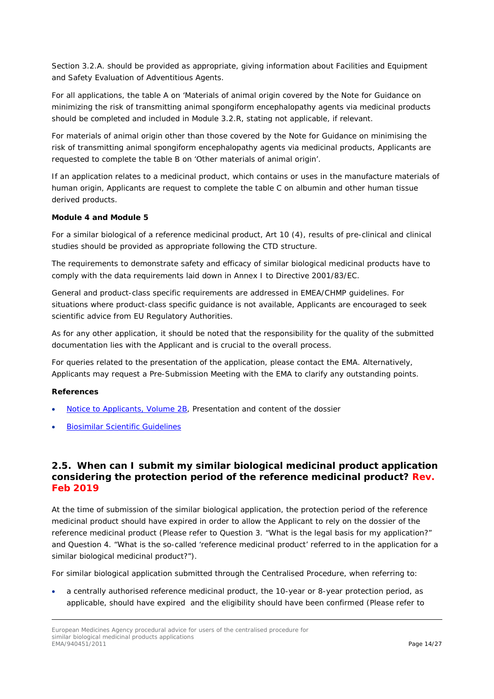Section 3.2.A. should be provided as appropriate, giving information about Facilities and Equipment and Safety Evaluation of Adventitious Agents.

For all applications, the table A on 'Materials of animal origin covered by the *Note for Guidance on minimizing the risk of transmitting animal spongiform encephalopathy agents via medicinal products* should be completed and included in Module 3.2.R, stating not applicable, if relevant.

For materials of animal origin other than those covered by the *Note for Guidance on minimising the risk of transmitting animal spongiform encephalopathy agents via medicinal products*, Applicants are requested to complete the table B on '*Other materials of animal origin*'.

If an application relates to a medicinal product, which contains or uses in the manufacture materials of human origin, Applicants are request to complete the table C on albumin and other human tissue derived products.

#### **Module 4 and Module 5**

For a similar biological of a reference medicinal product, Art 10 (4), results of pre-clinical and clinical studies should be provided as appropriate following the CTD structure.

The requirements to demonstrate safety and efficacy of similar biological medicinal products have to comply with the data requirements laid down in Annex I to Directive 2001/83/EC.

General and product-class specific requirements are addressed in EMEA/CHMP guidelines. For situations where product-class specific guidance is not available, Applicants are encouraged to seek scientific advice from EU Regulatory Authorities.

As for any other application, it should be noted that the responsibility for the quality of the submitted documentation lies with the Applicant and is crucial to the overall process.

For queries related to the presentation of the application, please contact the EMA. Alternatively, Applicants may request a Pre-Submission Meeting with the EMA to clarify any outstanding points.

#### **References**

- [Notice to Applicants, Volume 2B,](http://ec.europa.eu/health/documents/eudralex/vol-2/index_en.htm) Presentation and content of the dossier
- [Biosimilar Scientific Guidelines](http://www.ema.europa.eu/ema/index.jsp?curl=pages/regulation/general/general_content_000408.jsp&murl=menus/regulations/regulations.jsp&mid=WC0b01ac058002958c)

### <span id="page-13-0"></span>*2.5. When can I submit my similar biological medicinal product application considering the protection period of the reference medicinal product? Rev. Feb 2019*

At the time of submission of the similar biological application, the protection period of the reference medicinal product should have expired in order to allow the Applicant to rely on the dossier of the reference medicinal product (Please refer to Question 3. "What is the legal basis for my application?" and Question 4. "What is the so-called 'reference medicinal product' referred to in the application for a similar biological medicinal product?").

For similar biological application submitted through the Centralised Procedure, when referring to:

• a centrally authorised reference medicinal product, the 10-year or 8-year protection period, as applicable, should have expired and the eligibility should have been confirmed (Please refer to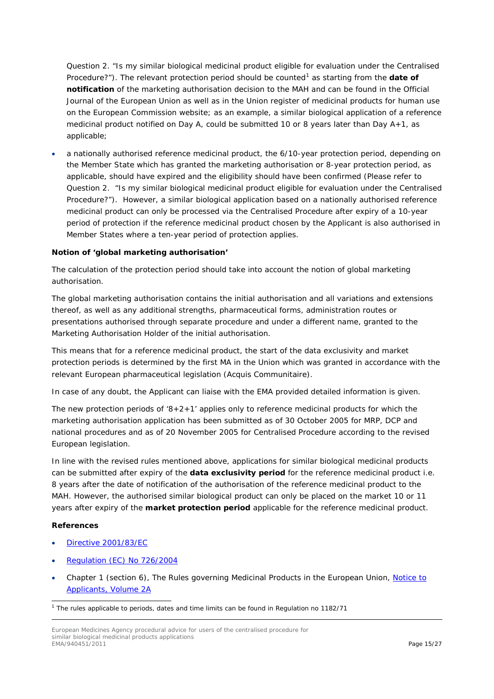Question 2. "Is my similar biological medicinal product eligible for evaluation under the Centralised Procedure?"). The relevant protection period should be counted<sup>[1](#page-14-0)</sup> as starting from the **date of notification** of the marketing authorisation decision to the MAH and can be found in the Official Journal of the European Union as well as in the Union register of medicinal products for human use on the European Commission website; as an example, a similar biological application of a reference medicinal product notified on Day A, could be submitted 10 or 8 years later than Day A+1, as applicable;

• a nationally authorised reference medicinal product, the 6/10-year protection period, depending on the Member State which has granted the marketing authorisation or 8-year protection period, as applicable, should have expired and the eligibility should have been confirmed (Please refer to Question 2. "Is my similar biological medicinal product eligible for evaluation under the Centralised Procedure?"). However, a similar biological application based on a nationally authorised reference medicinal product can only be processed via the Centralised Procedure after expiry of a 10-year period of protection if the reference medicinal product chosen by the Applicant is also authorised in Member States where a ten-year period of protection applies.

#### **Notion of 'global marketing authorisation'**

The calculation of the protection period should take into account the notion of global marketing authorisation.

The global marketing authorisation contains the initial authorisation and all variations and extensions thereof, as well as any additional strengths, pharmaceutical forms, administration routes or presentations authorised through separate procedure and under a different name, granted to the Marketing Authorisation Holder of the initial authorisation.

This means that for a reference medicinal product, the start of the data exclusivity and market protection periods is determined by the first MA in the Union which was granted in accordance with the relevant European pharmaceutical legislation (*Acquis Communitaire*).

In case of any doubt, the Applicant can liaise with the EMA provided detailed information is given.

The new protection periods of '8+2+1' applies only to reference medicinal products for which the marketing authorisation application has been submitted as of 30 October 2005 for MRP, DCP and national procedures and as of 20 November 2005 for Centralised Procedure according to the revised European legislation.

In line with the revised rules mentioned above, applications for similar biological medicinal products can be submitted after expiry of the **data exclusivity period** for the reference medicinal product i.e. 8 years after the date of notification of the authorisation of the reference medicinal product to the MAH. However, the authorised similar biological product can only be placed on the market 10 or 11 years after expiry of the **market protection period** applicable for the reference medicinal product.

- [Directive 2001/83/EC](http://ec.europa.eu/health/files/eudralex/vol-1/dir_2001_83_cons2009/2001_83_cons2009_en.pdf)
- [Regulation \(EC\) No 726/2004](https://ec.europa.eu/health/sites/health/files/files/eudralex/vol-1/reg_2004_726/reg_2004_726_en.pdf)
- Chapter 1 (section 6), The Rules governing Medicinal Products in the European Union, [Notice to](http://ec.europa.eu/health/documents/eudralex/vol-2_en)  [Applicants,](http://ec.europa.eu/health/documents/eudralex/vol-2_en) Volume 2A

<span id="page-14-0"></span> $1$  The rules applicable to periods, dates and time limits can be found in Regulation no 1182/71

European Medicines Agency procedural advice for users of the centralised procedure for similar biological medicinal products applications<br>EMA/940451/2011 EMA/940451/2011 Page 15/27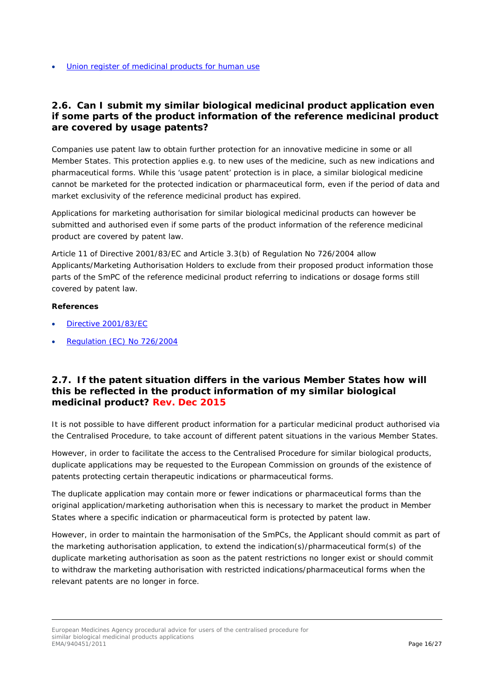[Union register of medicinal products for human use](http://ec.europa.eu/health/documents/community-register/html/index_en.htm)

### <span id="page-15-0"></span>*2.6. Can I submit my similar biological medicinal product application even if some parts of the product information of the reference medicinal product are covered by usage patents?*

Companies use patent law to obtain further protection for an innovative medicine in some or all Member States. This protection applies e.g. to new uses of the medicine, such as new indications and pharmaceutical forms. While this 'usage patent' protection is in place, a similar biological medicine cannot be marketed for the protected indication or pharmaceutical form, even if the period of data and market exclusivity of the reference medicinal product has expired.

Applications for marketing authorisation for similar biological medicinal products can however be submitted and authorised even if some parts of the product information of the reference medicinal product are covered by patent law.

Article 11 of Directive 2001/83/EC and Article 3.3(b) of Regulation No 726/2004 allow Applicants/Marketing Authorisation Holders to exclude from their proposed product information those parts of the SmPC of the reference medicinal product referring to indications or dosage forms still covered by patent law.

#### **References**

- [Directive 2001/83/EC](http://ec.europa.eu/health/files/eudralex/vol-1/dir_2001_83_cons2009/2001_83_cons2009_en.pdf)
- [Regulation \(EC\) No 726/2004](https://ec.europa.eu/health/sites/health/files/files/eudralex/vol-1/reg_2004_726/reg_2004_726_en.pdf)

### <span id="page-15-1"></span>*2.7. If the patent situation differs in the various Member States how will this be reflected in the product information of my similar biological medicinal product? Rev. Dec 2015*

It is not possible to have different product information for a particular medicinal product authorised via the Centralised Procedure, to take account of different patent situations in the various Member States.

However, in order to facilitate the access to the Centralised Procedure for similar biological products, duplicate applications may be requested to the European Commission on grounds of the existence of patents protecting certain therapeutic indications or pharmaceutical forms.

The duplicate application may contain more or fewer indications or pharmaceutical forms than the original application/marketing authorisation when this is necessary to market the product in Member States where a specific indication or pharmaceutical form is protected by patent law.

However, in order to maintain the harmonisation of the SmPCs, the Applicant should commit as part of the marketing authorisation application, to extend the indication(s)/pharmaceutical form(s) of the duplicate marketing authorisation as soon as the patent restrictions no longer exist or should commit to withdraw the marketing authorisation with restricted indications/pharmaceutical forms when the relevant patents are no longer in force.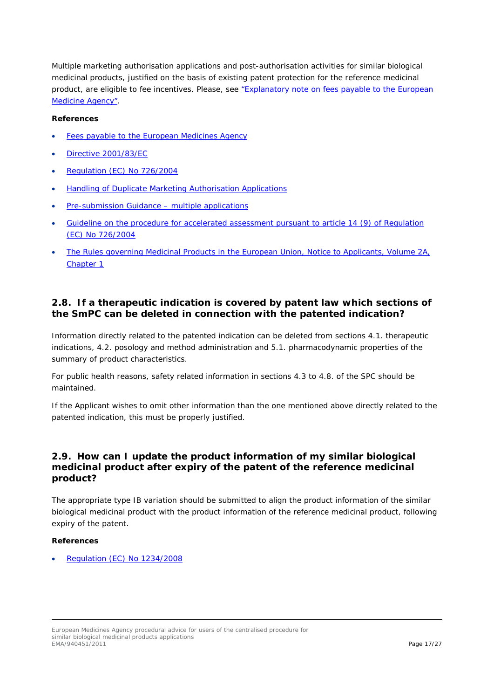Multiple marketing authorisation applications and post-authorisation activities for similar biological medicinal products, justified on the basis of existing patent protection for the reference medicinal product, are eligible to fee incentives. Please, see ["Explanatory note on fees payable to the European](http://www.ema.europa.eu/ema/index.jsp?curl=pages/regulation/document_listing/document_listing_000327.jsp&mid=WC0b01ac0580024596&jsenabled=true)  [Medicine Agency".](http://www.ema.europa.eu/ema/index.jsp?curl=pages/regulation/document_listing/document_listing_000327.jsp&mid=WC0b01ac0580024596&jsenabled=true)

#### **References**

- [Fees payable to the European Medicines Agency](http://www.ema.europa.eu/ema/index.jsp?curl=pages/regulation/document_listing/document_listing_000327.jsp&mid=WC0b01ac0580024596)
- [Directive 2001/83/EC](http://ec.europa.eu/health/files/eudralex/vol-1/dir_2001_83_cons2009/2001_83_cons2009_en.pdf)
- [Regulation \(EC\) No 726/2004](http://ec.europa.eu/health/files/eudralex/vol-1/reg_2004_726/reg_2004_726_en.pdf)
- [Handling of Duplicate Marketing Authorisation Applications](http://ec.europa.eu/health/files/latest_news/2011_09_upd.pdf)
- [Pre-submission Guidance –](http://www.ema.europa.eu/ema/index.jsp?curl=pages/regulation/q_and_a/q_and_a_detail_000022.jsp&mid=WC0b01ac0580022712) multiple applications
- [Guideline on the procedure for accelerated assessment pursuant to article 14 \(9\) of Regulation](http://www.ema.europa.eu/docs/en_GB/document_library/Regulatory_and_procedural_guideline/2009/10/WC500004136.pdf)  [\(EC\) No 726/2004](http://www.ema.europa.eu/docs/en_GB/document_library/Regulatory_and_procedural_guideline/2009/10/WC500004136.pdf)
- The Rules governing Medicinal Products in the European Union, Notice to Applicants, Volume 2A, [Chapter 1](http://ec.europa.eu/health/documents/eudralex/vol-2/index_en.htm)

# <span id="page-16-0"></span>*2.8. If a therapeutic indication is covered by patent law which sections of the SmPC can be deleted in connection with the patented indication?*

Information directly related to the patented indication can be deleted from sections 4.1. therapeutic indications, 4.2. posology and method administration and 5.1. pharmacodynamic properties of the summary of product characteristics.

For public health reasons, safety related information in sections 4.3 to 4.8. of the SPC should be maintained.

If the Applicant wishes to omit other information than the one mentioned above directly related to the patented indication, this must be properly justified.

## <span id="page-16-1"></span>*2.9. How can I update the product information of my similar biological medicinal product after expiry of the patent of the reference medicinal product?*

The appropriate type IB variation should be submitted to align the product information of the similar biological medicinal product with the product information of the reference medicinal product, following expiry of the patent.

#### **References**

• [Regulation \(EC\) No 1234/2008](http://ec.europa.eu/health/files/eudralex/vol-1/reg_2008_1234/reg_2008_1234_en.pdf)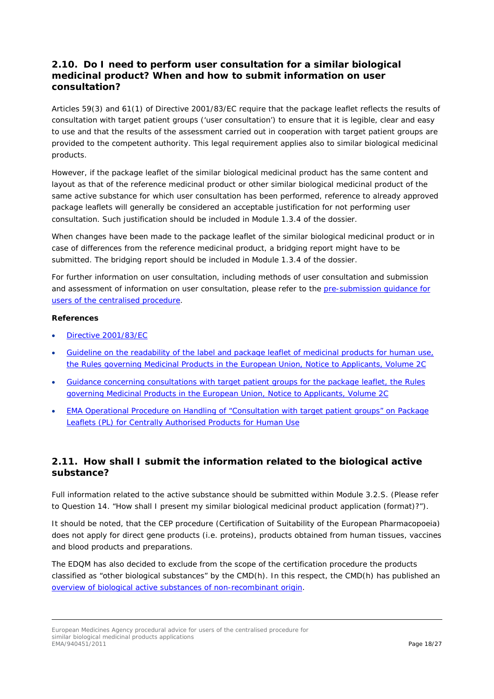## <span id="page-17-0"></span>*2.10. Do I need to perform user consultation for a similar biological medicinal product? When and how to submit information on user consultation?*

Articles 59(3) and 61(1) of Directive 2001/83/EC require that the package leaflet reflects the results of consultation with target patient groups ('user consultation') to ensure that it is legible, clear and easy to use and that the results of the assessment carried out in cooperation with target patient groups are provided to the competent authority. This legal requirement applies also to similar biological medicinal products.

However, if the package leaflet of the similar biological medicinal product has the same content and layout as that of the reference medicinal product or other similar biological medicinal product of the same active substance for which user consultation has been performed, reference to already approved package leaflets will generally be considered an acceptable justification for not performing user consultation. Such justification should be included in Module 1.3.4 of the dossier.

When changes have been made to the package leaflet of the similar biological medicinal product or in case of differences from the reference medicinal product, a bridging report might have to be submitted. The bridging report should be included in Module 1.3.4 of the dossier.

For further information on user consultation, including methods of user consultation and submission and assessment of information on user consultation, please refer to the [pre-submission guidance for](http://www.ema.europa.eu/ema/index.jsp?curl=pages/regulation/q_and_a/q_and_a_detail_000023.jsp&mid=WC0b01ac0580022714)  [users of the centralised procedure.](http://www.ema.europa.eu/ema/index.jsp?curl=pages/regulation/q_and_a/q_and_a_detail_000023.jsp&mid=WC0b01ac0580022714)

#### **References**

- [Directive 2001/83/EC](http://ec.europa.eu/health/files/eudralex/vol-1/dir_2001_83_cons2009/2001_83_cons2009_en.pdf)
- [Guideline on the readability of the label and package leaflet of medicinal products for human use,](http://ec.europa.eu/health/files/eudralex/vol-2/c/2009_01_12_readability_guideline_final_en.pdf)  [the Rules governing Medicinal Products in the European Union, Notice to Applicants, Volume 2C](http://ec.europa.eu/health/files/eudralex/vol-2/c/2009_01_12_readability_guideline_final_en.pdf)
- [Guidance concerning consultations with target patient groups for the package leaflet, the Rules](http://ec.europa.eu/health/files/eudralex/vol-2/c/user_consultation_200605_en.pdf)  [governing Medicinal Products in the European Union, Notice to Applicants, Volume 2C](http://ec.europa.eu/health/files/eudralex/vol-2/c/user_consultation_200605_en.pdf)
- EMA Operational [Procedure on Handling of "Consultation with target patient groups" on Package](http://www.ema.europa.eu/docs/en_GB/document_library/Regulatory_and_procedural_guideline/2009/10/WC500004902.pdf)  [Leaflets \(PL\) for Centrally Authorised Products for Human Use](http://www.ema.europa.eu/docs/en_GB/document_library/Regulatory_and_procedural_guideline/2009/10/WC500004902.pdf)

# <span id="page-17-1"></span>*2.11. How shall I submit the information related to the biological active substance?*

Full information related to the active substance should be submitted within Module 3.2.S. (Please refer to Question 14. "How shall I present my similar biological medicinal product application (format)?").

It should be noted, that the CEP procedure (Certification of Suitability of the European Pharmacopoeia) does not apply for direct gene products (i.e. proteins), products obtained from human tissues, vaccines and blood products and preparations.

The EDQM has also decided to exclude from the scope of the certification procedure the products classified as "other biological substances" by the CMD(h). In this respect, the CMD(h) has published an [overview of biological active substances of non-recombinant origin.](http://www.hma.eu/fileadmin/dateien/Human_Medicines/CMD_h_/procedural_guidance/Compilation_Biological_Active_Substance_non-recombinant_origin.pdf)

European Medicines Agency procedural advice for users of the centralised procedure for similar biological medicinal products applications<br>EMA/940451/2011 EMA/940451/2011 Page 18/27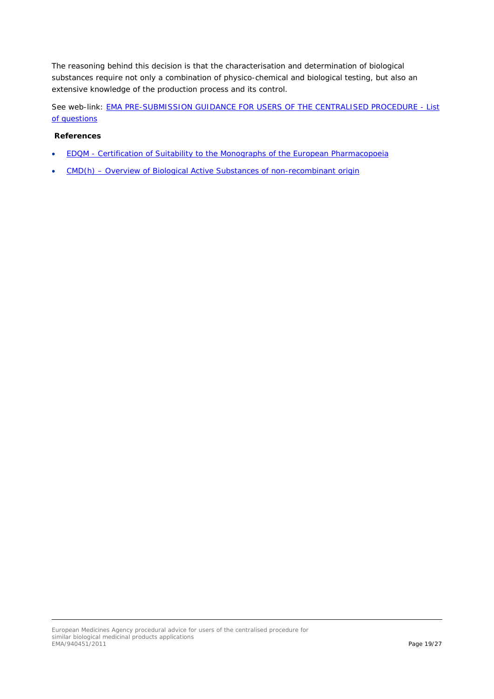The reasoning behind this decision is that the characterisation and determination of biological substances require not only a combination of physico-chemical and biological testing, but also an extensive knowledge of the production process and its control.

See web-link: [EMA PRE-SUBMISSION GUIDANCE FOR USERS OF THE CENTRALISED PROCEDURE -](http://www.ema.europa.eu/ema/index.jsp?curl=pages/regulation/q_and_a/q_and_a_detail_000020.jsp&mid=WC0b01ac0580022713) List [of questions](http://www.ema.europa.eu/ema/index.jsp?curl=pages/regulation/q_and_a/q_and_a_detail_000020.jsp&mid=WC0b01ac0580022713)

- EDQM [Certification of Suitability to the Monographs of the European Pharmacopoeia](http://www.edqm.eu/en/News-and-General-Information-164.html)
- CMD(h) [Overview of Biological Active Substances of non-recombinant origin](http://www.hma.eu/fileadmin/dateien/Human_Medicines/CMD_h_/procedural_guidance/Compilation_Biological_Active_Substance_non-recombinant_origin.pdf)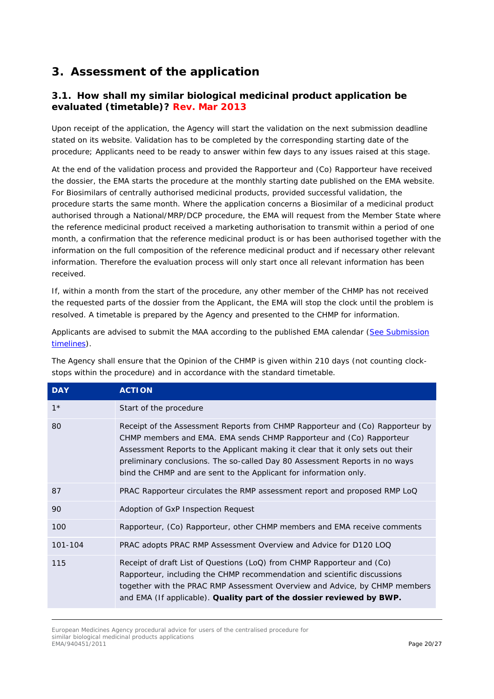# <span id="page-19-0"></span>**3. Assessment of the application**

# <span id="page-19-1"></span>*3.1. How shall my similar biological medicinal product application be evaluated (timetable)? Rev. Mar 2013*

Upon receipt of the application, the Agency will start the validation on the next submission deadline stated on its website. Validation has to be completed by the corresponding starting date of the procedure; Applicants need to be ready to answer within few days to any issues raised at this stage.

At the end of the validation process and provided the Rapporteur and (Co) Rapporteur have received the dossier, the EMA starts the procedure at the monthly starting date published on the EMA website. For Biosimilars of centrally authorised medicinal products, provided successful validation, the procedure starts the same month. Where the application concerns a Biosimilar of a medicinal product authorised through a National/MRP/DCP procedure, the EMA will request from the Member State where the reference medicinal product received a marketing authorisation to transmit within a period of one month, a confirmation that the reference medicinal product is or has been authorised together with the information on the full composition of the reference medicinal product and if necessary other relevant information. Therefore the evaluation process will only start once all relevant information has been received.

If, within a month from the start of the procedure, any other member of the CHMP has not received the requested parts of the dossier from the Applicant, the EMA will stop the clock until the problem is resolved. A timetable is prepared by the Agency and presented to the CHMP for information.

Applicants are advised to submit the MAA according to the published EMA calendar [\(See Submission](http://www.ema.europa.eu/ema/index.jsp?curl=pages/regulation/general/general_content_000119.jsp&murl=menus/regulations/regulations.jsp&mid=WC0b01ac0580022974)  [timelines\)](http://www.ema.europa.eu/ema/index.jsp?curl=pages/regulation/general/general_content_000119.jsp&murl=menus/regulations/regulations.jsp&mid=WC0b01ac0580022974).

| <b>DAY</b> | <b>ACTION</b>                                                                                                                                                                                                                                                                                                                                                                               |
|------------|---------------------------------------------------------------------------------------------------------------------------------------------------------------------------------------------------------------------------------------------------------------------------------------------------------------------------------------------------------------------------------------------|
| $1*$       | Start of the procedure                                                                                                                                                                                                                                                                                                                                                                      |
| 80         | Receipt of the Assessment Reports from CHMP Rapporteur and (Co) Rapporteur by<br>CHMP members and EMA. EMA sends CHMP Rapporteur and (Co) Rapporteur<br>Assessment Reports to the Applicant making it clear that it only sets out their<br>preliminary conclusions. The so-called Day 80 Assessment Reports in no ways<br>bind the CHMP and are sent to the Applicant for information only. |
| 87         | PRAC Rapporteur circulates the RMP assessment report and proposed RMP LoQ                                                                                                                                                                                                                                                                                                                   |
| 90         | Adoption of GxP Inspection Request                                                                                                                                                                                                                                                                                                                                                          |
| 100        | Rapporteur, (Co) Rapporteur, other CHMP members and EMA receive comments                                                                                                                                                                                                                                                                                                                    |
| 101-104    | PRAC adopts PRAC RMP Assessment Overview and Advice for D120 LOQ                                                                                                                                                                                                                                                                                                                            |
| 115        | Receipt of draft List of Questions (LoQ) from CHMP Rapporteur and (Co)<br>Rapporteur, including the CHMP recommendation and scientific discussions<br>together with the PRAC RMP Assessment Overview and Advice, by CHMP members<br>and EMA (If applicable). Quality part of the dossier reviewed by BWP.                                                                                   |

The Agency shall ensure that the Opinion of the CHMP is given within 210 days (not counting clockstops within the procedure) and in accordance with the standard timetable.

European Medicines Agency procedural advice for users of the centralised procedure for similar biological medicinal products applications<br>EMA/940451/2011 EMA/940451/2011 Page 20/27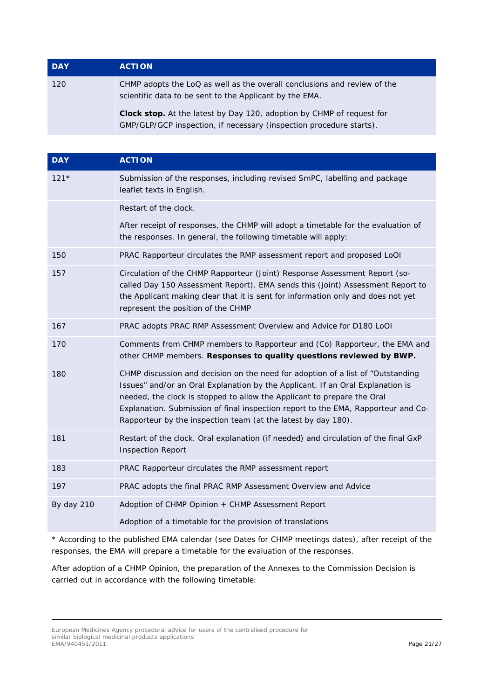| <b>DAY</b> | <b>ACTION</b>                                                                                                                                       |
|------------|-----------------------------------------------------------------------------------------------------------------------------------------------------|
| 120        | CHMP adopts the LoQ as well as the overall conclusions and review of the<br>scientific data to be sent to the Applicant by the EMA.                 |
|            | <b>Clock stop.</b> At the latest by Day 120, adoption by CHMP of request for<br>GMP/GLP/GCP inspection, if necessary (inspection procedure starts). |

| <b>DAY</b> | <b>ACTION</b>                                                                                                                                                                                                                                                                                                                                                                                      |
|------------|----------------------------------------------------------------------------------------------------------------------------------------------------------------------------------------------------------------------------------------------------------------------------------------------------------------------------------------------------------------------------------------------------|
| $121*$     | Submission of the responses, including revised SmPC, labelling and package<br>leaflet texts in English.                                                                                                                                                                                                                                                                                            |
|            | Restart of the clock.                                                                                                                                                                                                                                                                                                                                                                              |
|            | After receipt of responses, the CHMP will adopt a timetable for the evaluation of<br>the responses. In general, the following timetable will apply:                                                                                                                                                                                                                                                |
| 150        | PRAC Rapporteur circulates the RMP assessment report and proposed LoOI                                                                                                                                                                                                                                                                                                                             |
| 157        | Circulation of the CHMP Rapporteur (Joint) Response Assessment Report (so-<br>called Day 150 Assessment Report). EMA sends this (joint) Assessment Report to<br>the Applicant making clear that it is sent for information only and does not yet<br>represent the position of the CHMP                                                                                                             |
| 167        | PRAC adopts PRAC RMP Assessment Overview and Advice for D180 LoOI                                                                                                                                                                                                                                                                                                                                  |
| 170        | Comments from CHMP members to Rapporteur and (Co) Rapporteur, the EMA and<br>other CHMP members. Responses to quality questions reviewed by BWP.                                                                                                                                                                                                                                                   |
| 180        | CHMP discussion and decision on the need for adoption of a list of "Outstanding<br>Issues" and/or an Oral Explanation by the Applicant. If an Oral Explanation is<br>needed, the clock is stopped to allow the Applicant to prepare the Oral<br>Explanation. Submission of final inspection report to the EMA, Rapporteur and Co-<br>Rapporteur by the inspection team (at the latest by day 180). |
| 181        | Restart of the clock. Oral explanation (if needed) and circulation of the final GxP<br><b>Inspection Report</b>                                                                                                                                                                                                                                                                                    |
| 183        | PRAC Rapporteur circulates the RMP assessment report                                                                                                                                                                                                                                                                                                                                               |
| 197        | PRAC adopts the final PRAC RMP Assessment Overview and Advice                                                                                                                                                                                                                                                                                                                                      |
| By day 210 | Adoption of CHMP Opinion + CHMP Assessment Report                                                                                                                                                                                                                                                                                                                                                  |
|            | Adoption of a timetable for the provision of translations                                                                                                                                                                                                                                                                                                                                          |

\* According to the published EMA calendar (see Dates for CHMP meetings dates), after receipt of the responses, the EMA will prepare a timetable for the evaluation of the responses.

After adoption of a CHMP Opinion, the preparation of the Annexes to the Commission Decision is carried out in accordance with the following timetable:

European Medicines Agency procedural advice for users of the centralised procedure for similar biological medicinal products applications EMA/940451/2011 Page 21/27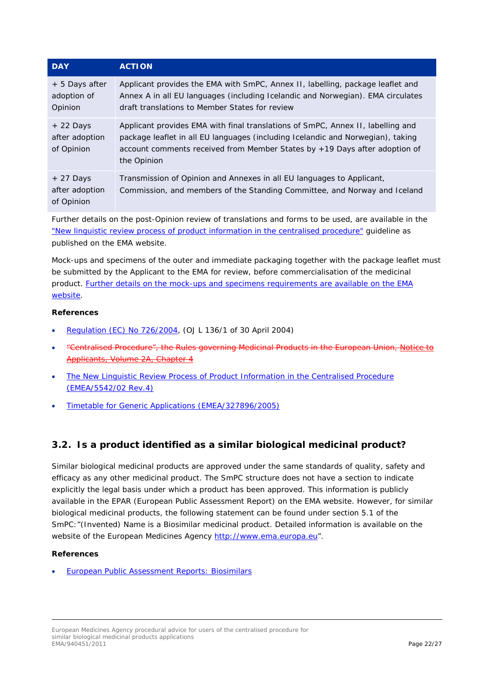| <b>DAY</b>                                 | <b>ACTION</b>                                                                                                                                                                                                                                                   |
|--------------------------------------------|-----------------------------------------------------------------------------------------------------------------------------------------------------------------------------------------------------------------------------------------------------------------|
| + 5 Days after<br>adoption of<br>Opinion   | Applicant provides the EMA with SmPC, Annex II, labelling, package leaflet and<br>Annex A in all EU languages (including Icelandic and Norwegian). EMA circulates<br>draft translations to Member States for review                                             |
| $+22$ Days<br>after adoption<br>of Opinion | Applicant provides EMA with final translations of SmPC, Annex II, labelling and<br>package leaflet in all EU languages (including Icelandic and Norwegian), taking<br>account comments received from Member States by +19 Days after adoption of<br>the Opinion |
| $+27$ Days<br>after adoption<br>of Opinion | Transmission of Opinion and Annexes in all EU languages to Applicant,<br>Commission, and members of the Standing Committee, and Norway and Iceland                                                                                                              |

Further details on the post-Opinion review of translations and forms to be used, are available in the ["New linguistic review process of product information in the centralised procedure"](http://www.ema.europa.eu/docs/en_GB/document_library/Regulatory_and_procedural_guideline/2009/10/WC500004182.pdf) guideline as published on the EMA website.

Mock-ups and specimens of the outer and immediate packaging together with the package leaflet must be submitted by the Applicant to the EMA for review, before commercialisation of the medicinal product. [Further details on the mock-ups and specimens requirements are available on the EMA](http://www.ema.europa.eu/docs/en_GB/document_library/Regulatory_and_procedural_guideline/2009/10/WC500004182.pdf)  [website.](http://www.ema.europa.eu/docs/en_GB/document_library/Regulatory_and_procedural_guideline/2009/10/WC500004182.pdf)

#### **References**

- [Regulation \(EC\) No 726/2004,](https://ec.europa.eu/health/sites/health/files/files/eudralex/vol-1/reg_2004_726/reg_2004_726_en.pdf) (OJ L 136/1 of 30 April 2004)
- "Centralised Procedure", the Rules governing Medicinal Products in the European Union, Notice to Applicants, Volume 2A, Chapter 4
- The New Linguistic Review Process of Product Information in the Centralised Procedure [\(EMEA/5542/02 Rev.4\)](http://www.ema.europa.eu/docs/en_GB/document_library/Regulatory_and_procedural_guideline/2009/10/WC500004182.pdf)
- [Timetable for Generic Applications \(EMEA/327896/2005\)](http://www.ema.europa.eu/docs/en_GB/document_library/Other/2009/10/WC500004935.pdf)

### <span id="page-21-0"></span>*3.2. Is a product identified as a similar biological medicinal product?*

Similar biological medicinal products are approved under the same standards of quality, safety and efficacy as any other medicinal product. The SmPC structure does not have a section to indicate explicitly the legal basis under which a product has been approved. This information is publicly available in the EPAR (European Public Assessment Report) on the EMA website. However, for similar biological medicinal products, the following statement can be found under section 5.1 of the SmPC:"(Invented) Name is a Biosimilar medicinal product. Detailed information is available on the website of the European Medicines Agency [http://www.ema.europa.eu"](http://www.ema.europa.eu/).

#### **References**

• [European Public Assessment Reports: Biosimilars](http://www.ema.europa.eu/ema/index.jsp?curl=pages/medicines/landing/epar_search.jsp&mid=WC0b01ac058001d125)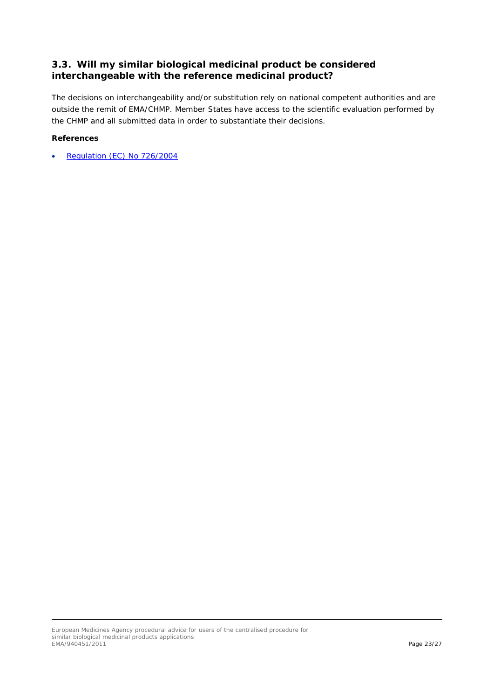## <span id="page-22-0"></span>*3.3. Will my similar biological medicinal product be considered interchangeable with the reference medicinal product?*

The decisions on interchangeability and/or substitution rely on national competent authorities and are outside the remit of EMA/CHMP. Member States have access to the scientific evaluation performed by the CHMP and all submitted data in order to substantiate their decisions.

#### **References**

Regulation (EC) No 726/2004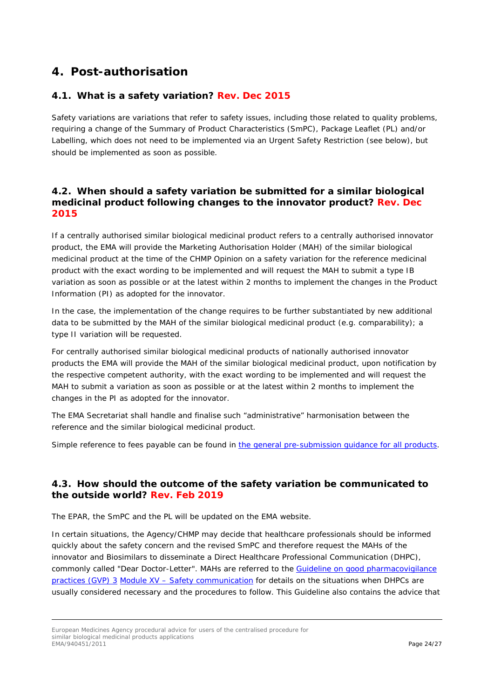# <span id="page-23-0"></span>**4. Post-authorisation**

# <span id="page-23-1"></span>*4.1. What is a safety variation? Rev. Dec 2015*

Safety variations are variations that refer to safety issues, including those related to quality problems, requiring a change of the Summary of Product Characteristics (SmPC), Package Leaflet (PL) and/or Labelling, which does not need to be implemented via an Urgent Safety Restriction (see below), but should be implemented as soon as possible.

### <span id="page-23-2"></span>*4.2. When should a safety variation be submitted for a similar biological medicinal product following changes to the innovator product? Rev. Dec 2015*

If a centrally authorised similar biological medicinal product refers to a centrally authorised innovator product, the EMA will provide the Marketing Authorisation Holder (MAH) of the similar biological medicinal product at the time of the CHMP Opinion on a safety variation for the reference medicinal product with the exact wording to be implemented and will request the MAH to submit a type IB variation as soon as possible or at the latest within 2 months to implement the changes in the Product Information (PI) as adopted for the innovator.

In the case, the implementation of the change requires to be further substantiated by new additional data to be submitted by the MAH of the similar biological medicinal product (e.g. comparability); a type II variation will be requested.

For centrally authorised similar biological medicinal products of nationally authorised innovator products the EMA will provide the MAH of the similar biological medicinal product, upon notification by the respective competent authority, with the exact wording to be implemented and will request the MAH to submit a variation as soon as possible or at the latest within 2 months to implement the changes in the PI as adopted for the innovator.

The EMA Secretariat shall handle and finalise such "administrative" harmonisation between the reference and the similar biological medicinal product.

Simple reference to fees payable can be found in [the general pre-submission guidance for all products.](http://www.ema.europa.eu/ema/index.jsp?curl=pages/regulation/q_and_a/q_and_a_detail_000022.jsp&mid=WC0b01ac0580022712)

### <span id="page-23-3"></span>*4.3. How should the outcome of the safety variation be communicated to the outside world? Rev. Feb 2019*

The EPAR, the SmPC and the PL will be updated on the EMA website.

In certain situations, the Agency/CHMP may decide that healthcare professionals should be informed quickly about the safety concern and the revised SmPC and therefore request the MAHs of the innovator and Biosimilars to disseminate a Direct Healthcare Professional Communication (DHPC), commonly called "Dear Doctor-Letter". MAHs are referred to the [Guideline on good pharmacovigilance](https://www.ema.europa.eu/en/human-regulatory/post-authorisation/pharmacovigilance/good-pharmacovigilance-practices#final-gvp-annex-iii---other-pharmacovigilance-guidance-section)  [practices \(GVP\) 3](https://www.ema.europa.eu/en/human-regulatory/post-authorisation/pharmacovigilance/good-pharmacovigilance-practices#final-gvp-annex-iii---other-pharmacovigilance-guidance-section) Module XV – [Safety communication](https://www.ema.europa.eu/en/human-regulatory/post-authorisation/pharmacovigilance/good-pharmacovigilance-practices#final-gvp-annex-iii---other-pharmacovigilance-guidance-section) for details on the situations when DHPCs are usually considered necessary and the procedures to follow. This Guideline also contains the advice that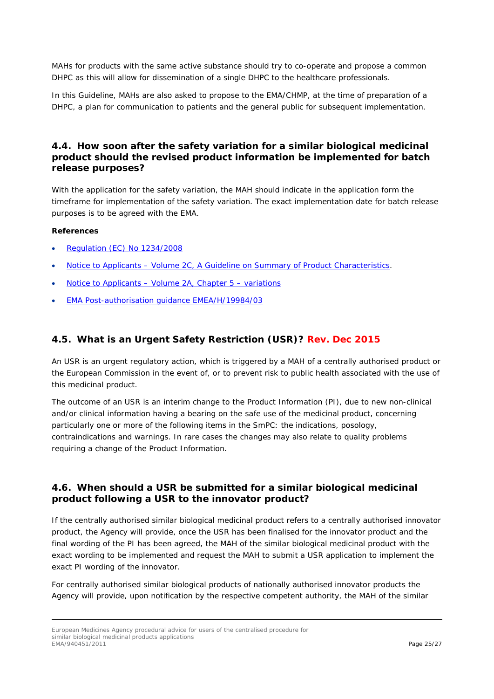MAHs for products with the same active substance should try to co-operate and propose a common DHPC as this will allow for dissemination of a single DHPC to the healthcare professionals.

In this Guideline, MAHs are also asked to propose to the EMA/CHMP, at the time of preparation of a DHPC, a plan for communication to patients and the general public for subsequent implementation.

### <span id="page-24-0"></span>*4.4. How soon after the safety variation for a similar biological medicinal product should the revised product information be implemented for batch release purposes?*

With the application for the safety variation, the MAH should indicate in the application form the timeframe for implementation of the safety variation. The exact implementation date for batch release purposes is to be agreed with the EMA.

#### **References**

- [Regulation \(EC\) No 1234/2008](http://ec.europa.eu/health/files/eudralex/vol-1/reg_2008_1234/reg_2008_1234_en.pdf)
- Notice to Applicants [Volume 2C, A Guideline on Summary of Product Characteristics.](http://ec.europa.eu/health/files/eudralex/vol-2/c/smpc_guideline_rev2_en.pdf)
- Notice to Applicants [Volume 2A, Chapter 5 –](http://ec.europa.eu/health/documents/eudralex/vol-2/index_en.htm) variations
- [EMA Post-authorisation guidance EMEA/H/19984/03](http://www.ema.europa.eu/docs/en_GB/document_library/Regulatory_and_procedural_guideline/2009/10/WC500003981.pdf)

### <span id="page-24-1"></span>*4.5. What is an Urgent Safety Restriction (USR)? Rev. Dec 2015*

An USR is an urgent regulatory action, which is triggered by a MAH of a centrally authorised product or the European Commission in the event of, or to prevent risk to public health associated with the use of this medicinal product.

The outcome of an USR is an interim change to the Product Information (PI), due to new non-clinical and/or clinical information having a bearing on the safe use of the medicinal product, concerning particularly one or more of the following items in the SmPC: the indications, posology, contraindications and warnings. In rare cases the changes may also relate to quality problems requiring a change of the Product Information.

### <span id="page-24-2"></span>*4.6. When should a USR be submitted for a similar biological medicinal product following a USR to the innovator product?*

If the centrally authorised similar biological medicinal product refers to a centrally authorised innovator product, the Agency will provide, once the USR has been finalised for the innovator product and the final wording of the PI has been agreed, the MAH of the similar biological medicinal product with the exact wording to be implemented and request the MAH to submit a USR application to implement the exact PI wording of the innovator.

For centrally authorised similar biological products of nationally authorised innovator products the Agency will provide, upon notification by the respective competent authority, the MAH of the similar

European Medicines Agency procedural advice for users of the centralised procedure for similar biological medicinal products applications<br>EMA/940451/2011 EMA/940451/2011 **Page 25/27**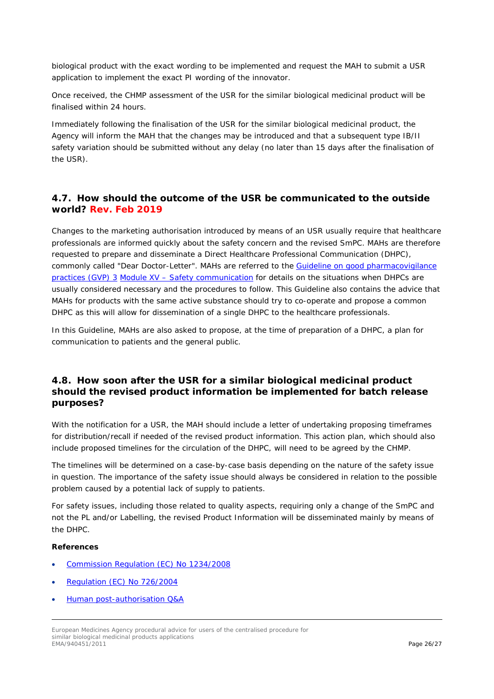biological product with the exact wording to be implemented and request the MAH to submit a USR application to implement the exact PI wording of the innovator.

Once received, the CHMP assessment of the USR for the similar biological medicinal product will be finalised within 24 hours.

Immediately following the finalisation of the USR for the similar biological medicinal product, the Agency will inform the MAH that the changes may be introduced and that a subsequent type IB/II safety variation should be submitted without any delay (no later than 15 days after the finalisation of the USR).

### <span id="page-25-0"></span>*4.7. How should the outcome of the USR be communicated to the outside world? Rev. Feb 2019*

Changes to the marketing authorisation introduced by means of an USR usually require that healthcare professionals are informed quickly about the safety concern and the revised SmPC. MAHs are therefore requested to prepare and disseminate a Direct Healthcare Professional Communication (DHPC), commonly called "Dear Doctor-Letter". MAHs are referred to the Guideline on good pharmacovigilance [practices \(GVP\) 3](https://www.ema.europa.eu/en/human-regulatory/post-authorisation/pharmacovigilance/good-pharmacovigilance-practices#final-gvp-annex-iii---other-pharmacovigilance-guidance-section) Module XV – [Safety communication](https://www.ema.europa.eu/en/human-regulatory/post-authorisation/pharmacovigilance/good-pharmacovigilance-practices#final-gvp-annex-iii---other-pharmacovigilance-guidance-section) for details on the situations when DHPCs are usually considered necessary and the procedures to follow. This Guideline also contains the advice that MAHs for products with the same active substance should try to co-operate and propose a common DHPC as this will allow for dissemination of a single DHPC to the healthcare professionals.

In this Guideline, MAHs are also asked to propose, at the time of preparation of a DHPC, a plan for communication to patients and the general public.

### <span id="page-25-1"></span>*4.8. How soon after the USR for a similar biological medicinal product should the revised product information be implemented for batch release purposes?*

With the notification for a USR, the MAH should include a letter of undertaking proposing timeframes for distribution/recall if needed of the revised product information. This action plan, which should also include proposed timelines for the circulation of the DHPC, will need to be agreed by the CHMP.

The timelines will be determined on a case-by-case basis depending on the nature of the safety issue in question. The importance of the safety issue should always be considered in relation to the possible problem caused by a potential lack of supply to patients.

For safety issues, including those related to quality aspects, requiring only a change of the SmPC and not the PL and/or Labelling, the revised Product Information will be disseminated mainly by means of the DHPC.

- [Commission Regulation \(EC\) No 1234/2008](http://ec.europa.eu/health/files/eudralex/vol-1/reg_2008_1234/reg_2008_1234_en.pdf)
- [Regulation \(EC\) No 726/2004](http://ec.europa.eu/health/files/eudralex/vol-1/reg_2004_726/reg_2004_726_en.pdf)
- [Human post-authorisation Q&A](https://www.ema.europa.eu/en/human-regulatory/post-authorisation/human-post-authorisation-qa-introduction)